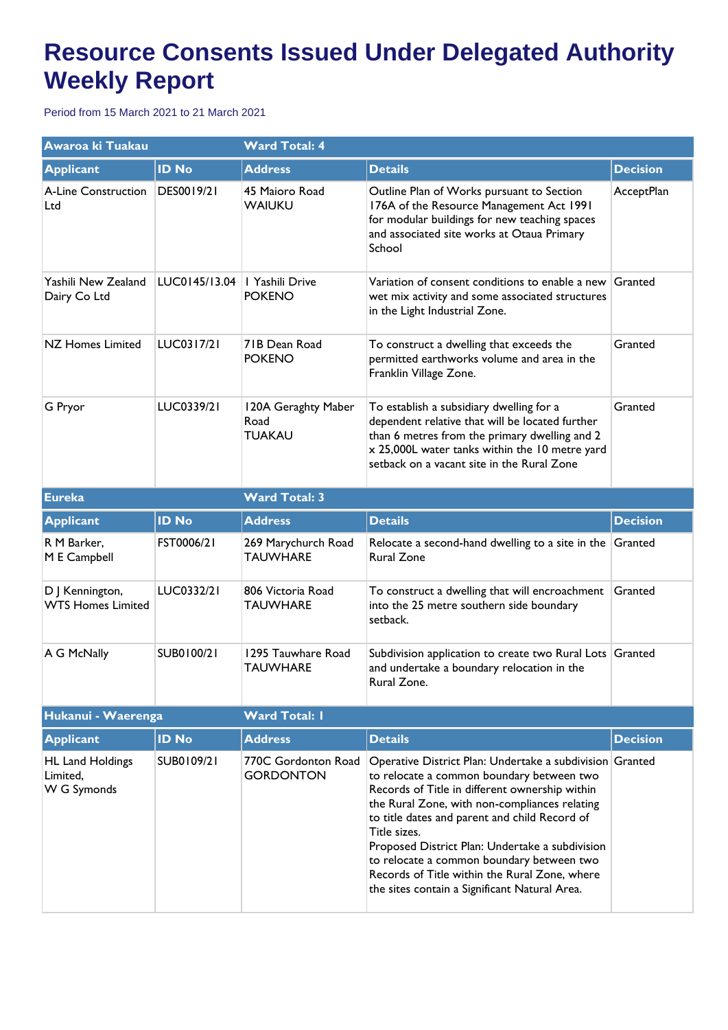## **Resource Consents Issued Under Delegated Authority Weekly Report**

Period from 15 March 2021 to 21 March 2021

| Awaroa ki Tuakau                                   |               | <b>Ward Total: 4</b>                         |                                                                                                                                                                                                                                                                                                                                                                                                                                                                             |                 |  |
|----------------------------------------------------|---------------|----------------------------------------------|-----------------------------------------------------------------------------------------------------------------------------------------------------------------------------------------------------------------------------------------------------------------------------------------------------------------------------------------------------------------------------------------------------------------------------------------------------------------------------|-----------------|--|
| <b>Applicant</b>                                   | <b>ID No</b>  | <b>Address</b>                               | <b>Details</b>                                                                                                                                                                                                                                                                                                                                                                                                                                                              | <b>Decision</b> |  |
| <b>A-Line Construction</b><br>Ltd                  | DES0019/21    | 45 Maioro Road<br><b>WAIUKU</b>              | Outline Plan of Works pursuant to Section<br>176A of the Resource Management Act 1991<br>for modular buildings for new teaching spaces<br>and associated site works at Otaua Primary<br>School                                                                                                                                                                                                                                                                              | AcceptPlan      |  |
| Yashili New Zealand<br>Dairy Co Ltd                | LUC0145/13.04 | I Yashili Drive<br><b>POKENO</b>             | Variation of consent conditions to enable a new Granted<br>wet mix activity and some associated structures<br>in the Light Industrial Zone.                                                                                                                                                                                                                                                                                                                                 |                 |  |
| <b>NZ Homes Limited</b>                            | LUC0317/21    | 71B Dean Road<br><b>POKENO</b>               | To construct a dwelling that exceeds the<br>permitted earthworks volume and area in the<br>Franklin Village Zone.                                                                                                                                                                                                                                                                                                                                                           | Granted         |  |
| G Pryor                                            | LUC0339/21    | 120A Geraghty Maber<br>Road<br><b>TUAKAU</b> | To establish a subsidiary dwelling for a<br>dependent relative that will be located further<br>than 6 metres from the primary dwelling and 2<br>x 25,000L water tanks within the 10 metre yard<br>setback on a vacant site in the Rural Zone                                                                                                                                                                                                                                | Granted         |  |
| <b>Eureka</b>                                      |               | <b>Ward Total: 3</b>                         |                                                                                                                                                                                                                                                                                                                                                                                                                                                                             |                 |  |
| <b>Applicant</b>                                   | <b>ID No</b>  | <b>Address</b>                               | <b>Details</b>                                                                                                                                                                                                                                                                                                                                                                                                                                                              | <b>Decision</b> |  |
| R M Barker,<br>M E Campbell                        | FST0006/21    | 269 Marychurch Road<br><b>TAUWHARE</b>       | Relocate a second-hand dwelling to a site in the $ G$ ranted<br><b>Rural Zone</b>                                                                                                                                                                                                                                                                                                                                                                                           |                 |  |
| D J Kennington,<br><b>WTS Homes Limited</b>        | LUC0332/21    | 806 Victoria Road<br><b>TAUWHARE</b>         | To construct a dwelling that will encroachment<br>into the 25 metre southern side boundary<br>setback.                                                                                                                                                                                                                                                                                                                                                                      | Granted         |  |
| A G McNally                                        | SUB0100/21    | 1295 Tauwhare Road<br>TAUWHARE               | Subdivision application to create two Rural Lots Granted<br>and undertake a boundary relocation in the<br>Rural Zone.                                                                                                                                                                                                                                                                                                                                                       |                 |  |
| Hukanui - Waerenga                                 |               | <b>Ward Total: I</b>                         |                                                                                                                                                                                                                                                                                                                                                                                                                                                                             |                 |  |
| <b>Applicant</b>                                   | <b>ID No</b>  | <b>Address</b>                               | <b>Details</b>                                                                                                                                                                                                                                                                                                                                                                                                                                                              | <b>Decision</b> |  |
| <b>HL Land Holdings</b><br>Limited,<br>W G Symonds | SUB0109/21    | 770C Gordonton Road<br><b>GORDONTON</b>      | Operative District Plan: Undertake a subdivision Granted<br>to relocate a common boundary between two<br>Records of Title in different ownership within<br>the Rural Zone, with non-compliances relating<br>to title dates and parent and child Record of<br>Title sizes.<br>Proposed District Plan: Undertake a subdivision<br>to relocate a common boundary between two<br>Records of Title within the Rural Zone, where<br>the sites contain a Significant Natural Area. |                 |  |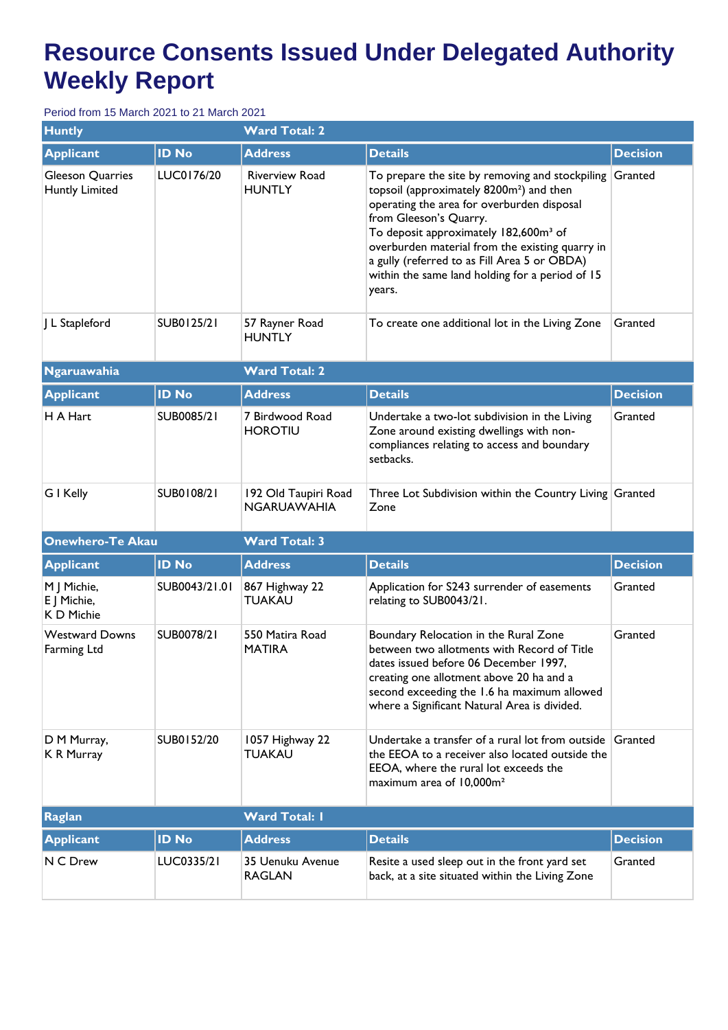## **Resource Consents Issued Under Delegated Authority Weekly Report**

Period from 15 March 2021 to 21 March 2021

| <b>Huntly</b>                             |               | <b>Ward Total: 2</b>                       |                                                                                                                                                                                                                                                                                                                                                                                                      |                 |  |
|-------------------------------------------|---------------|--------------------------------------------|------------------------------------------------------------------------------------------------------------------------------------------------------------------------------------------------------------------------------------------------------------------------------------------------------------------------------------------------------------------------------------------------------|-----------------|--|
| <b>Applicant</b>                          | <b>ID No</b>  | <b>Address</b>                             | <b>Details</b>                                                                                                                                                                                                                                                                                                                                                                                       | <b>Decision</b> |  |
| Gleeson Quarries<br><b>Huntly Limited</b> | LUC0176/20    | <b>Riverview Road</b><br><b>HUNTLY</b>     | To prepare the site by removing and stockpiling<br>topsoil (approximately 8200m <sup>2</sup> ) and then<br>operating the area for overburden disposal<br>from Gleeson's Quarry.<br>To deposit approximately 182,600m <sup>3</sup> of<br>overburden material from the existing quarry in<br>a gully (referred to as Fill Area 5 or OBDA)<br>within the same land holding for a period of 15<br>years. | Granted         |  |
| J L Stapleford                            | SUB0125/21    | 57 Rayner Road<br><b>HUNTLY</b>            | To create one additional lot in the Living Zone                                                                                                                                                                                                                                                                                                                                                      | Granted         |  |
| <b>Ngaruawahia</b>                        |               | <b>Ward Total: 2</b>                       |                                                                                                                                                                                                                                                                                                                                                                                                      |                 |  |
| <b>Applicant</b>                          | <b>ID No</b>  | <b>Address</b>                             | <b>Details</b>                                                                                                                                                                                                                                                                                                                                                                                       | <b>Decision</b> |  |
| H A Hart                                  | SUB0085/21    | 7 Birdwood Road<br><b>HOROTIU</b>          | Undertake a two-lot subdivision in the Living<br>Zone around existing dwellings with non-<br>compliances relating to access and boundary<br>setbacks.                                                                                                                                                                                                                                                | Granted         |  |
| G I Kelly                                 | SUB0108/21    | 192 Old Taupiri Road<br><b>NGARUAWAHIA</b> | Three Lot Subdivision within the Country Living Granted<br>Zone                                                                                                                                                                                                                                                                                                                                      |                 |  |
| <b>Onewhero-Te Akau</b>                   |               | <b>Ward Total: 3</b>                       |                                                                                                                                                                                                                                                                                                                                                                                                      |                 |  |
| <b>Applicant</b>                          | <b>ID No</b>  | <b>Address</b>                             | <b>Details</b>                                                                                                                                                                                                                                                                                                                                                                                       | <b>Decision</b> |  |
| M J Michie,<br>E   Michie,<br>K D Michie  | SUB0043/21.01 | 867 Highway 22<br><b>TUAKAU</b>            | Application for S243 surrender of easements<br>relating to SUB0043/21.                                                                                                                                                                                                                                                                                                                               | Granted         |  |
| <b>Westward Downs</b><br>Farming Ltd      | SUB0078/21    | 550 Matira Road<br><b>MATIRA</b>           | Boundary Relocation in the Rural Zone<br>between two allotments with Record of Title<br>dates issued before 06 December 1997,<br>creating one allotment above 20 ha and a<br>second exceeding the 1.6 ha maximum allowed<br>where a Significant Natural Area is divided.                                                                                                                             | Granted         |  |
| D M Murray,<br>K R Murray                 | SUB0152/20    | 1057 Highway 22<br><b>TUAKAU</b>           | Undertake a transfer of a rural lot from outside Granted<br>the EEOA to a receiver also located outside the<br>EEOA, where the rural lot exceeds the<br>maximum area of 10,000m <sup>2</sup>                                                                                                                                                                                                         |                 |  |
| <b>Raglan</b>                             |               | <b>Ward Total: I</b>                       |                                                                                                                                                                                                                                                                                                                                                                                                      |                 |  |
| <b>Applicant</b>                          | <b>ID No</b>  | <b>Address</b>                             | <b>Details</b>                                                                                                                                                                                                                                                                                                                                                                                       | <b>Decision</b> |  |
| N C Drew                                  | LUC0335/21    | 35 Uenuku Avenue<br><b>RAGLAN</b>          | Resite a used sleep out in the front yard set<br>back, at a site situated within the Living Zone                                                                                                                                                                                                                                                                                                     | Granted         |  |